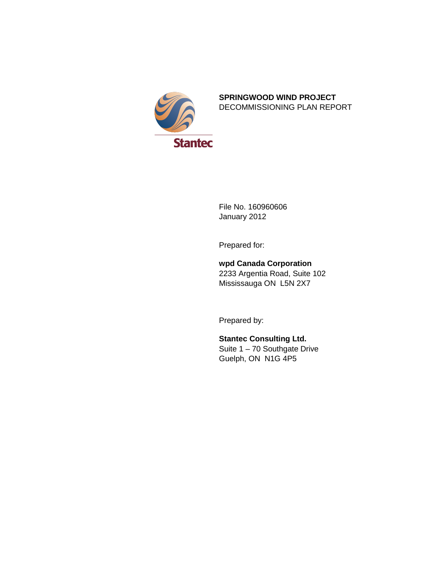

#### **SPRINGWOOD WIND PROJECT** DECOMMISSIONING PLAN REPORT

File No. 160960606 January 2012

Prepared for:

### **wpd Canada Corporation** 2233 Argentia Road, Suite 102 Mississauga ON L5N 2X7

Prepared by:

**Stantec Consulting Ltd.** Suite  $1 - 70$  Southgate Drive Guelph, ON N1G 4P5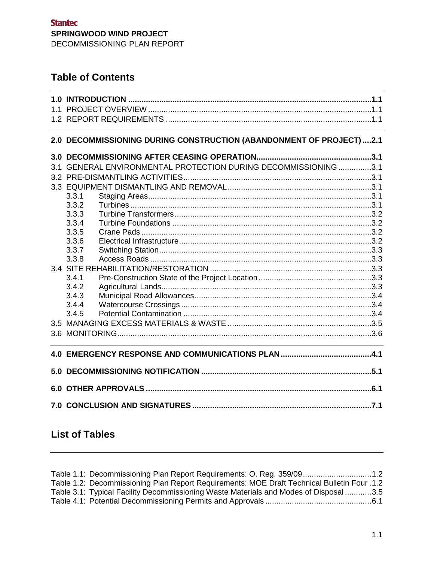# **Table of Contents**

### **2.0 [DECOMMISSIONING DURING CONSTRUCTION \(ABANDONMENT OF PROJECT\)](#page-6-0) ....2.1**

| 3.1              |       | GENERAL ENVIRONMENTAL PROTECTION DURING DECOMMISSIONING 3.1 |  |
|------------------|-------|-------------------------------------------------------------|--|
| 3.2 <sub>2</sub> |       |                                                             |  |
|                  |       |                                                             |  |
|                  | 3.3.1 |                                                             |  |
|                  | 3.3.2 |                                                             |  |
|                  | 3.3.3 |                                                             |  |
|                  | 3.3.4 |                                                             |  |
|                  | 3.3.5 |                                                             |  |
|                  | 3.3.6 |                                                             |  |
|                  | 3.3.7 |                                                             |  |
|                  | 3.3.8 |                                                             |  |
|                  |       |                                                             |  |
|                  | 3.4.1 |                                                             |  |
|                  | 3.4.2 |                                                             |  |
|                  | 3.4.3 |                                                             |  |
|                  | 3.4.4 |                                                             |  |
|                  | 3.4.5 |                                                             |  |
|                  |       |                                                             |  |
|                  |       |                                                             |  |
|                  |       |                                                             |  |
|                  |       |                                                             |  |
|                  |       |                                                             |  |
|                  |       |                                                             |  |

# **List of Tables**

| Table 1.1: Decommissioning Plan Report Requirements: O. Reg. 359/091.2                      |  |
|---------------------------------------------------------------------------------------------|--|
| Table 1.2: Decommissioning Plan Report Requirements: MOE Draft Technical Bulletin Four .1.2 |  |
| Table 3.1: Typical Facility Decommissioning Waste Materials and Modes of Disposal3.5        |  |
|                                                                                             |  |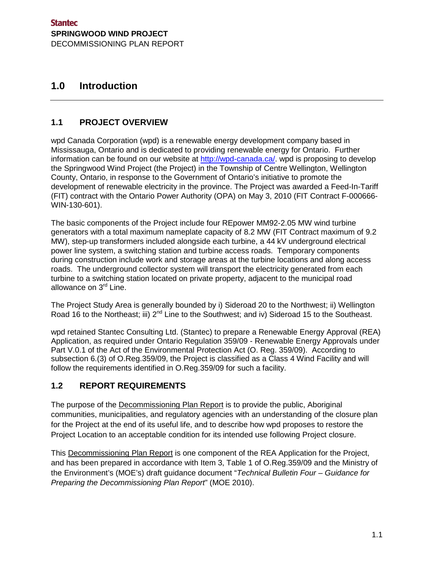## <span id="page-4-0"></span>**1.0 Introduction**

### <span id="page-4-1"></span>**1.1 PROJECT OVERVIEW**

wpd Canada Corporation (wpd) is a renewable energy development company based in Mississauga, Ontario and is dedicated to providing renewable energy for Ontario. Further information can be found on our website at [http://wpd-canada.ca/.](http://wpd-canada.ca/) wpd is proposing to develop the Springwood Wind Project (the Project) in the Township of Centre Wellington, Wellington County, Ontario, in response to the Government of Ontario's initiative to promote the development of renewable electricity in the province. The Project was awarded a Feed-In-Tariff (FIT) contract with the Ontario Power Authority (OPA) on May 3, 2010 (FIT Contract F-000666- WIN-130-601).

The basic components of the Project include four REpower MM92-2.05 MW wind turbine generators with a total maximum nameplate capacity of 8.2 MW (FIT Contract maximum of 9.2 MW), step-up transformers included alongside each turbine, a 44 kV underground electrical power line system, a switching station and turbine access roads. Temporary components during construction include work and storage areas at the turbine locations and along access roads. The underground collector system will transport the electricity generated from each turbine to a switching station located on private property, adjacent to the municipal road allowance on 3<sup>rd</sup> Line.

The Project Study Area is generally bounded by i) Sideroad 20 to the Northwest; ii) Wellington Road 16 to the Northeast; iii) 2<sup>nd</sup> Line to the Southwest; and iv) Sideroad 15 to the Southeast.

wpd retained Stantec Consulting Ltd. (Stantec) to prepare a Renewable Energy Approval (REA) Application, as required under Ontario Regulation 359/09 - Renewable Energy Approvals under Part V.0.1 of the Act of the Environmental Protection Act (O. Reg. 359/09). According to subsection 6.(3) of O.Reg.359/09, the Project is classified as a Class 4 Wind Facility and will follow the requirements identified in O.Reg.359/09 for such a facility.

### <span id="page-4-2"></span>**1.2 REPORT REQUIREMENTS**

The purpose of the **Decommissioning Plan Report** is to provide the public, Aboriginal communities, municipalities, and regulatory agencies with an understanding of the closure plan for the Project at the end of its useful life, and to describe how wpd proposes to restore the Project Location to an acceptable condition for its intended use following Project closure.

This Decommissioning Plan Report is one component of the REA Application for the Project, and has been prepared in accordance with Item 3, Table 1 of O.Reg.359/09 and the Ministry of the Environment's (MOE's) draft guidance document "*Technical Bulletin Four – Guidance for Preparing the Decommissioning Plan Report*" (MOE 2010).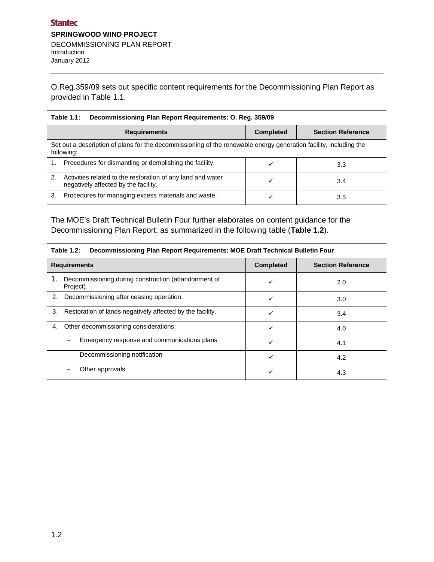O.Reg.359/09 sets out specific content requirements for the Decommissioning Plan Report as provided in Table 1.1.

<span id="page-5-0"></span>

| Table 1.1: Decommissioning Plan Report Requirements: O. Reg. 359/09 |  |  |  |  |  |
|---------------------------------------------------------------------|--|--|--|--|--|
|---------------------------------------------------------------------|--|--|--|--|--|

|    | <b>Requirements</b>                                                                                                             | <b>Completed</b> | <b>Section Reference</b> |
|----|---------------------------------------------------------------------------------------------------------------------------------|------------------|--------------------------|
|    | Set out a description of plans for the decommissioning of the renewable energy generation facility, including the<br>following: |                  |                          |
| 1. | Procedures for dismantling or demolishing the facility.                                                                         |                  | 3.3                      |
| 2. | Activities related to the restoration of any land and water<br>negatively affected by the facility.                             |                  | 3.4                      |
| 3. | Procedures for managing excess materials and waste.                                                                             |                  | 3.5                      |

The MOE's Draft Technical Bulletin Four further elaborates on content guidance for the Decommissioning Plan Report, as summarized in the following table (**Table 1.2**).

| Table T.E. Decommissioning Flatt Report Requirements. MOE Drait Technical Duncan Four |                                                                  |                  |                          |
|---------------------------------------------------------------------------------------|------------------------------------------------------------------|------------------|--------------------------|
| <b>Requirements</b>                                                                   |                                                                  | <b>Completed</b> | <b>Section Reference</b> |
| 1.                                                                                    | Decommissioning during construction (abandonment of<br>Project). |                  | 2.0                      |
| 2.                                                                                    | Decommissioning after ceasing operation.                         |                  | 3.0                      |
|                                                                                       | 3. Restoration of lands negatively affected by the facility.     |                  | 3.4                      |
| 4.                                                                                    | Other decommissioning considerations:                            |                  | 4.0                      |
|                                                                                       | Emergency response and communications plans                      |                  | 4.1                      |
|                                                                                       | Decommissioning notification                                     |                  | 4.2                      |
|                                                                                       | Other approvals                                                  |                  | 4.3                      |

#### <span id="page-5-1"></span>**Table 1.2: Decommissioning Plan Report Requirements: MOE Draft Technical Bulletin Four**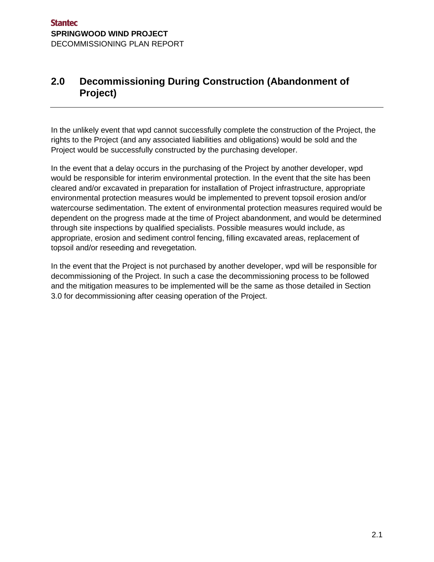# <span id="page-6-0"></span>**2.0 Decommissioning During Construction (Abandonment of Project)**

In the unlikely event that wpd cannot successfully complete the construction of the Project, the rights to the Project (and any associated liabilities and obligations) would be sold and the Project would be successfully constructed by the purchasing developer.

In the event that a delay occurs in the purchasing of the Project by another developer, wpd would be responsible for interim environmental protection. In the event that the site has been cleared and/or excavated in preparation for installation of Project infrastructure, appropriate environmental protection measures would be implemented to prevent topsoil erosion and/or watercourse sedimentation. The extent of environmental protection measures required would be dependent on the progress made at the time of Project abandonment, and would be determined through site inspections by qualified specialists. Possible measures would include, as appropriate, erosion and sediment control fencing, filling excavated areas, replacement of topsoil and/or reseeding and revegetation.

In the event that the Project is not purchased by another developer, wpd will be responsible for decommissioning of the Project. In such a case the decommissioning process to be followed and the mitigation measures to be implemented will be the same as those detailed in Section 3.0 for decommissioning after ceasing operation of the Project.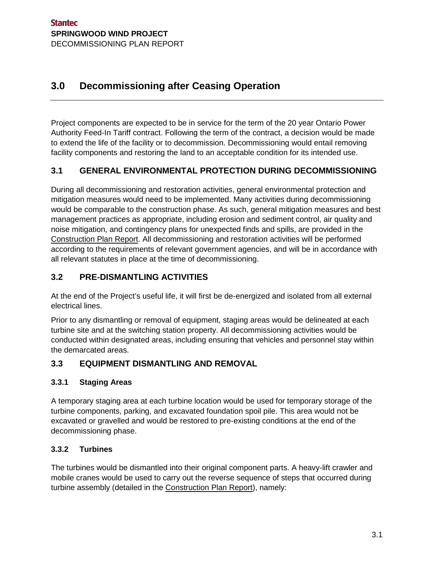# <span id="page-8-0"></span>**3.0 Decommissioning after Ceasing Operation**

Project components are expected to be in service for the term of the 20 year Ontario Power Authority Feed-In Tariff contract. Following the term of the contract, a decision would be made to extend the life of the facility or to decommission. Decommissioning would entail removing facility components and restoring the land to an acceptable condition for its intended use.

## <span id="page-8-1"></span>**3.1 GENERAL ENVIRONMENTAL PROTECTION DURING DECOMMISSIONING**

During all decommissioning and restoration activities, general environmental protection and mitigation measures would need to be implemented. Many activities during decommissioning would be comparable to the construction phase. As such, general mitigation measures and best management practices as appropriate, including erosion and sediment control, air quality and noise mitigation, and contingency plans for unexpected finds and spills, are provided in the Construction Plan Report. All decommissioning and restoration activities will be performed according to the requirements of relevant government agencies, and will be in accordance with all relevant statutes in place at the time of decommissioning.

## <span id="page-8-2"></span>**3.2 PRE-DISMANTLING ACTIVITIES**

At the end of the Project's useful life, it will first be de-energized and isolated from all external electrical lines.

Prior to any dismantling or removal of equipment, staging areas would be delineated at each turbine site and at the switching station property. All decommissioning activities would be conducted within designated areas, including ensuring that vehicles and personnel stay within the demarcated areas.

### <span id="page-8-3"></span>**3.3 EQUIPMENT DISMANTLING AND REMOVAL**

### <span id="page-8-4"></span>**3.3.1 Staging Areas**

A temporary staging area at each turbine location would be used for temporary storage of the turbine components, parking, and excavated foundation spoil pile. This area would not be excavated or gravelled and would be restored to pre-existing conditions at the end of the decommissioning phase.

### <span id="page-8-5"></span>**3.3.2 Turbines**

The turbines would be dismantled into their original component parts. A heavy-lift crawler and mobile cranes would be used to carry out the reverse sequence of steps that occurred during turbine assembly (detailed in the Construction Plan Report), namely: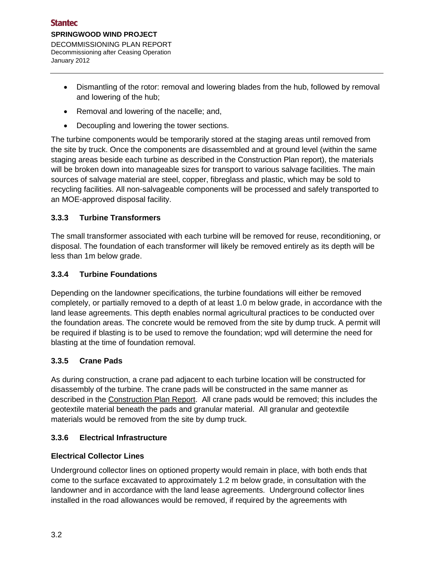- Dismantling of the rotor: removal and lowering blades from the hub, followed by removal and lowering of the hub;
- Removal and lowering of the nacelle; and,
- Decoupling and lowering the tower sections.

The turbine components would be temporarily stored at the staging areas until removed from the site by truck. Once the components are disassembled and at ground level (within the same staging areas beside each turbine as described in the Construction Plan report), the materials will be broken down into manageable sizes for transport to various salvage facilities. The main sources of salvage material are steel, copper, fibreglass and plastic, which may be sold to recycling facilities. All non-salvageable components will be processed and safely transported to an MOE-approved disposal facility.

### <span id="page-9-0"></span>**3.3.3 Turbine Transformers**

The small transformer associated with each turbine will be removed for reuse, reconditioning, or disposal. The foundation of each transformer will likely be removed entirely as its depth will be less than 1m below grade.

#### <span id="page-9-1"></span>**3.3.4 Turbine Foundations**

Depending on the landowner specifications, the turbine foundations will either be removed completely, or partially removed to a depth of at least 1.0 m below grade, in accordance with the land lease agreements. This depth enables normal agricultural practices to be conducted over the foundation areas. The concrete would be removed from the site by dump truck. A permit will be required if blasting is to be used to remove the foundation; wpd will determine the need for blasting at the time of foundation removal.

#### <span id="page-9-2"></span>**3.3.5 Crane Pads**

As during construction, a crane pad adjacent to each turbine location will be constructed for disassembly of the turbine. The crane pads will be constructed in the same manner as described in the Construction Plan Report. All crane pads would be removed; this includes the geotextile material beneath the pads and granular material. All granular and geotextile materials would be removed from the site by dump truck.

### <span id="page-9-3"></span>**3.3.6 Electrical Infrastructure**

#### **Electrical Collector Lines**

Underground collector lines on optioned property would remain in place, with both ends that come to the surface excavated to approximately 1.2 m below grade, in consultation with the landowner and in accordance with the land lease agreements. Underground collector lines installed in the road allowances would be removed, if required by the agreements with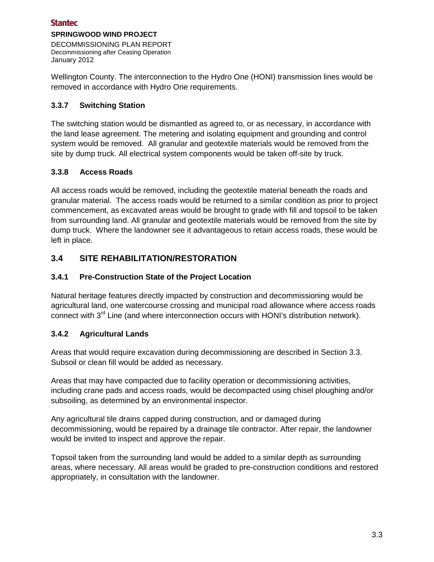### **Stantec**

#### **SPRINGWOOD WIND PROJECT**

DECOMMISSIONING PLAN REPORT Decommissioning after Ceasing Operation January 2012

Wellington County. The interconnection to the Hydro One (HONI) transmission lines would be removed in accordance with Hydro One requirements.

#### <span id="page-10-0"></span>**3.3.7 Switching Station**

The switching station would be dismantled as agreed to, or as necessary, in accordance with the land lease agreement. The metering and isolating equipment and grounding and control system would be removed. All granular and geotextile materials would be removed from the site by dump truck. All electrical system components would be taken off-site by truck.

#### <span id="page-10-1"></span>**3.3.8 Access Roads**

All access roads would be removed, including the geotextile material beneath the roads and granular material. The access roads would be returned to a similar condition as prior to project commencement, as excavated areas would be brought to grade with fill and topsoil to be taken from surrounding land. All granular and geotextile materials would be removed from the site by dump truck. Where the landowner see it advantageous to retain access roads, these would be left in place.

### <span id="page-10-2"></span>**3.4 SITE REHABILITATION/RESTORATION**

#### <span id="page-10-3"></span>**3.4.1 Pre-Construction State of the Project Location**

Natural heritage features directly impacted by construction and decommissioning would be agricultural land, one watercourse crossing and municipal road allowance where access roads connect with 3<sup>rd</sup> Line (and where interconnection occurs with HONI's distribution network).

### <span id="page-10-4"></span>**3.4.2 Agricultural Lands**

Areas that would require excavation during decommissioning are described in Section 3.3. Subsoil or clean fill would be added as necessary.

Areas that may have compacted due to facility operation or decommissioning activities, including crane pads and access roads, would be decompacted using chisel ploughing and/or subsoiling, as determined by an environmental inspector.

Any agricultural tile drains capped during construction, and or damaged during decommissioning, would be repaired by a drainage tile contractor. After repair, the landowner would be invited to inspect and approve the repair.

Topsoil taken from the surrounding land would be added to a similar depth as surrounding areas, where necessary. All areas would be graded to pre-construction conditions and restored appropriately, in consultation with the landowner.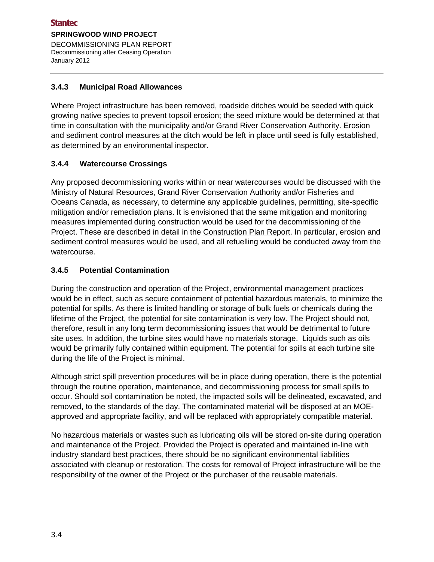#### <span id="page-11-0"></span>**3.4.3 Municipal Road Allowances**

Where Project infrastructure has been removed, roadside ditches would be seeded with quick growing native species to prevent topsoil erosion; the seed mixture would be determined at that time in consultation with the municipality and/or Grand River Conservation Authority. Erosion and sediment control measures at the ditch would be left in place until seed is fully established, as determined by an environmental inspector.

#### <span id="page-11-1"></span>**3.4.4 Watercourse Crossings**

Any proposed decommissioning works within or near watercourses would be discussed with the Ministry of Natural Resources, Grand River Conservation Authority and/or Fisheries and Oceans Canada, as necessary, to determine any applicable guidelines, permitting, site-specific mitigation and/or remediation plans. It is envisioned that the same mitigation and monitoring measures implemented during construction would be used for the decommissioning of the Project. These are described in detail in the Construction Plan Report. In particular, erosion and sediment control measures would be used, and all refuelling would be conducted away from the watercourse.

#### <span id="page-11-2"></span>**3.4.5 Potential Contamination**

During the construction and operation of the Project, environmental management practices would be in effect, such as secure containment of potential hazardous materials, to minimize the potential for spills. As there is limited handling or storage of bulk fuels or chemicals during the lifetime of the Project, the potential for site contamination is very low. The Project should not, therefore, result in any long term decommissioning issues that would be detrimental to future site uses. In addition, the turbine sites would have no materials storage. Liquids such as oils would be primarily fully contained within equipment. The potential for spills at each turbine site during the life of the Project is minimal.

Although strict spill prevention procedures will be in place during operation, there is the potential through the routine operation, maintenance, and decommissioning process for small spills to occur. Should soil contamination be noted, the impacted soils will be delineated, excavated, and removed, to the standards of the day. The contaminated material will be disposed at an MOEapproved and appropriate facility, and will be replaced with appropriately compatible material.

No hazardous materials or wastes such as lubricating oils will be stored on-site during operation and maintenance of the Project. Provided the Project is operated and maintained in-line with industry standard best practices, there should be no significant environmental liabilities associated with cleanup or restoration. The costs for removal of Project infrastructure will be the responsibility of the owner of the Project or the purchaser of the reusable materials.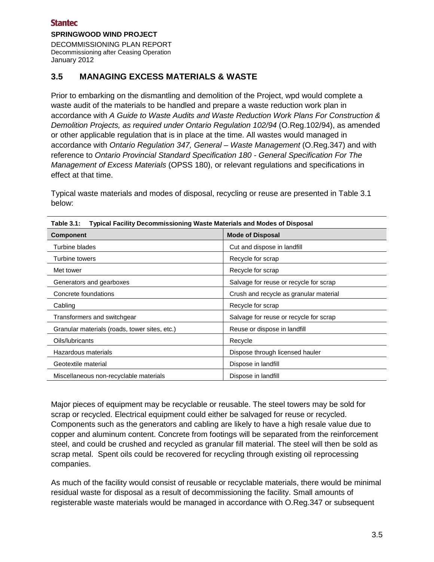#### **Stantec**

#### **SPRINGWOOD WIND PROJECT**

DECOMMISSIONING PLAN REPORT Decommissioning after Ceasing Operation January 2012

### <span id="page-12-0"></span>**3.5 MANAGING EXCESS MATERIALS & WASTE**

Prior to embarking on the dismantling and demolition of the Project, wpd would complete a waste audit of the materials to be handled and prepare a waste reduction work plan in accordance with *A Guide to Waste Audits and Waste Reduction Work Plans For Construction & Demolition Projects, as required under Ontario Regulation 102/94* (O.Reg.102/94), as amended or other applicable regulation that is in place at the time. All wastes would managed in accordance with *Ontario Regulation 347, General – Waste Management* (O.Reg.347) and with reference to *Ontario Provincial Standard Specification 180 - General Specification For The Management of Excess Materials* (OPSS 180), or relevant regulations and specifications in effect at that time.

Typical waste materials and modes of disposal, recycling or reuse are presented in Table 3.1 below:

| <b>Component</b>                              | <b>Mode of Disposal</b>                |  |  |
|-----------------------------------------------|----------------------------------------|--|--|
| Turbine blades                                | Cut and dispose in landfill            |  |  |
| Turbine towers                                | Recycle for scrap                      |  |  |
| Met tower                                     | Recycle for scrap                      |  |  |
| Generators and gearboxes                      | Salvage for reuse or recycle for scrap |  |  |
| Concrete foundations                          | Crush and recycle as granular material |  |  |
| Cabling                                       | Recycle for scrap                      |  |  |
| Transformers and switchgear                   | Salvage for reuse or recycle for scrap |  |  |
| Granular materials (roads, tower sites, etc.) | Reuse or dispose in landfill           |  |  |
| Oils/lubricants                               | Recycle                                |  |  |
| Hazardous materials                           | Dispose through licensed hauler        |  |  |
| Geotextile material                           | Dispose in landfill                    |  |  |
| Miscellaneous non-recyclable materials        | Dispose in landfill                    |  |  |

<span id="page-12-1"></span>

|  | Table 3.1: Typical Facility Decommissioning Waste Materials and Modes of Disposal |
|--|-----------------------------------------------------------------------------------|
|--|-----------------------------------------------------------------------------------|

Major pieces of equipment may be recyclable or reusable. The steel towers may be sold for scrap or recycled. Electrical equipment could either be salvaged for reuse or recycled. Components such as the generators and cabling are likely to have a high resale value due to copper and aluminum content. Concrete from footings will be separated from the reinforcement steel, and could be crushed and recycled as granular fill material. The steel will then be sold as scrap metal. Spent oils could be recovered for recycling through existing oil reprocessing companies.

As much of the facility would consist of reusable or recyclable materials, there would be minimal residual waste for disposal as a result of decommissioning the facility. Small amounts of registerable waste materials would be managed in accordance with O.Reg.347 or subsequent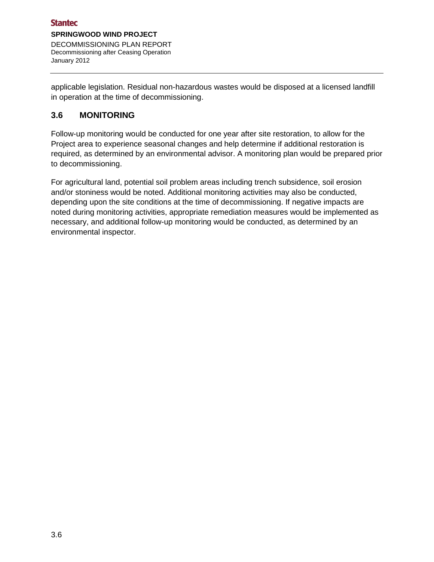applicable legislation. Residual non-hazardous wastes would be disposed at a licensed landfill in operation at the time of decommissioning.

### <span id="page-13-0"></span>**3.6 MONITORING**

Follow-up monitoring would be conducted for one year after site restoration, to allow for the Project area to experience seasonal changes and help determine if additional restoration is required, as determined by an environmental advisor. A monitoring plan would be prepared prior to decommissioning.

For agricultural land, potential soil problem areas including trench subsidence, soil erosion and/or stoniness would be noted. Additional monitoring activities may also be conducted, depending upon the site conditions at the time of decommissioning. If negative impacts are noted during monitoring activities, appropriate remediation measures would be implemented as necessary, and additional follow-up monitoring would be conducted, as determined by an environmental inspector.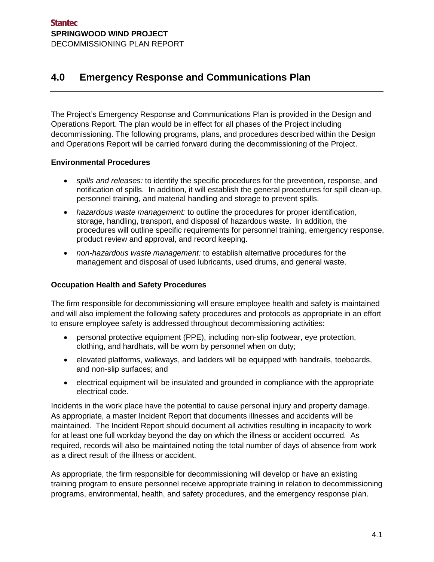# <span id="page-14-0"></span>**4.0 Emergency Response and Communications Plan**

The Project's Emergency Response and Communications Plan is provided in the Design and Operations Report. The plan would be in effect for all phases of the Project including decommissioning. The following programs, plans, and procedures described within the Design and Operations Report will be carried forward during the decommissioning of the Project.

#### **Environmental Procedures**

- *spills and releases:* to identify the specific procedures for the prevention, response, and notification of spills. In addition, it will establish the general procedures for spill clean-up, personnel training, and material handling and storage to prevent spills.
- *hazardous waste management:* to outline the procedures for proper identification, storage, handling, transport, and disposal of hazardous waste. In addition, the procedures will outline specific requirements for personnel training, emergency response, product review and approval, and record keeping.
- *non-hazardous waste management:* to establish alternative procedures for the management and disposal of used lubricants, used drums, and general waste.

#### **Occupation Health and Safety Procedures**

The firm responsible for decommissioning will ensure employee health and safety is maintained and will also implement the following safety procedures and protocols as appropriate in an effort to ensure employee safety is addressed throughout decommissioning activities:

- personal protective equipment (PPE), including non-slip footwear, eye protection, clothing, and hardhats, will be worn by personnel when on duty;
- elevated platforms, walkways, and ladders will be equipped with handrails, toeboards, and non-slip surfaces; and
- electrical equipment will be insulated and grounded in compliance with the appropriate electrical code.

Incidents in the work place have the potential to cause personal injury and property damage. As appropriate, a master Incident Report that documents illnesses and accidents will be maintained. The Incident Report should document all activities resulting in incapacity to work for at least one full workday beyond the day on which the illness or accident occurred. As required, records will also be maintained noting the total number of days of absence from work as a direct result of the illness or accident.

As appropriate, the firm responsible for decommissioning will develop or have an existing training program to ensure personnel receive appropriate training in relation to decommissioning programs, environmental, health, and safety procedures, and the emergency response plan.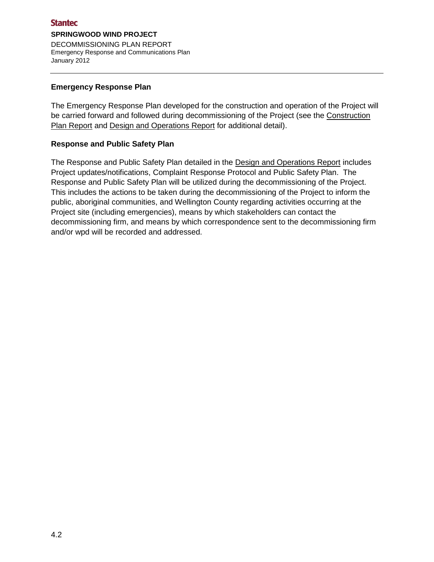#### **Emergency Response Plan**

The Emergency Response Plan developed for the construction and operation of the Project will be carried forward and followed during decommissioning of the Project (see the Construction Plan Report and Design and Operations Report for additional detail).

#### **Response and Public Safety Plan**

The Response and Public Safety Plan detailed in the Design and Operations Report includes Project updates/notifications, Complaint Response Protocol and Public Safety Plan. The Response and Public Safety Plan will be utilized during the decommissioning of the Project. This includes the actions to be taken during the decommissioning of the Project to inform the public, aboriginal communities, and Wellington County regarding activities occurring at the Project site (including emergencies), means by which stakeholders can contact the decommissioning firm, and means by which correspondence sent to the decommissioning firm and/or wpd will be recorded and addressed.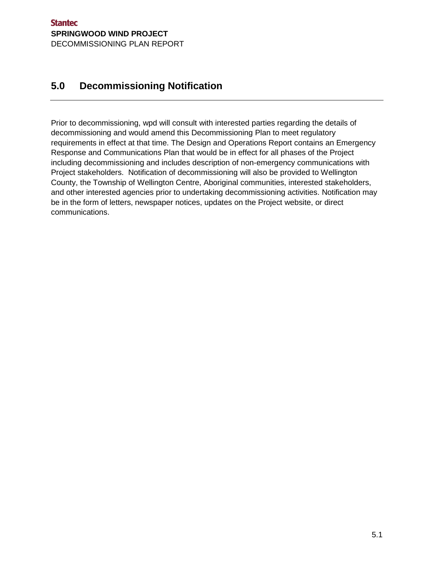# <span id="page-16-0"></span>**5.0 Decommissioning Notification**

Prior to decommissioning, wpd will consult with interested parties regarding the details of decommissioning and would amend this Decommissioning Plan to meet regulatory requirements in effect at that time. The Design and Operations Report contains an Emergency Response and Communications Plan that would be in effect for all phases of the Project including decommissioning and includes description of non-emergency communications with Project stakeholders. Notification of decommissioning will also be provided to Wellington County, the Township of Wellington Centre, Aboriginal communities, interested stakeholders, and other interested agencies prior to undertaking decommissioning activities. Notification may be in the form of letters, newspaper notices, updates on the Project website, or direct communications.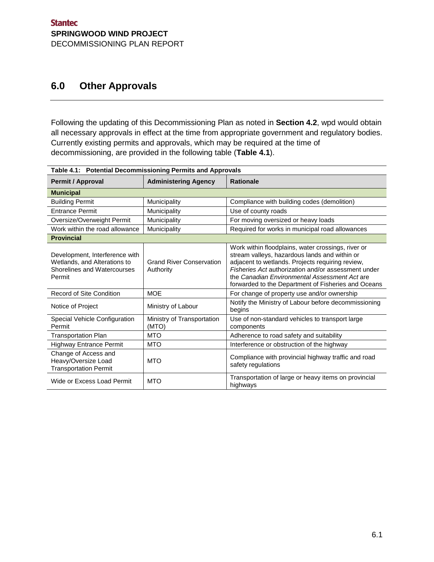## <span id="page-18-0"></span>**6.0 Other Approvals**

Following the updating of this Decommissioning Plan as noted in **Section 4.2**, wpd would obtain all necessary approvals in effect at the time from appropriate government and regulatory bodies. Currently existing permits and approvals, which may be required at the time of decommissioning, are provided in the following table (**Table 4.1**).

<span id="page-18-1"></span>

| Table 4.1: Potential Decommissioning Permits and Approvals                                              |                                              |                                                                                                                                                                                                                                                                                                                        |  |  |
|---------------------------------------------------------------------------------------------------------|----------------------------------------------|------------------------------------------------------------------------------------------------------------------------------------------------------------------------------------------------------------------------------------------------------------------------------------------------------------------------|--|--|
| <b>Permit / Approval</b>                                                                                | <b>Administering Agency</b>                  | <b>Rationale</b>                                                                                                                                                                                                                                                                                                       |  |  |
| <b>Municipal</b>                                                                                        |                                              |                                                                                                                                                                                                                                                                                                                        |  |  |
| <b>Building Permit</b>                                                                                  | Municipality                                 | Compliance with building codes (demolition)                                                                                                                                                                                                                                                                            |  |  |
| <b>Entrance Permit</b>                                                                                  | Municipality                                 | Use of county roads                                                                                                                                                                                                                                                                                                    |  |  |
| Oversize/Overweight Permit                                                                              | Municipality                                 | For moving oversized or heavy loads                                                                                                                                                                                                                                                                                    |  |  |
| Work within the road allowance                                                                          | Municipality                                 | Required for works in municipal road allowances                                                                                                                                                                                                                                                                        |  |  |
| <b>Provincial</b>                                                                                       |                                              |                                                                                                                                                                                                                                                                                                                        |  |  |
| Development, Interference with<br>Wetlands, and Alterations to<br>Shorelines and Watercourses<br>Permit | <b>Grand River Conservation</b><br>Authority | Work within floodplains, water crossings, river or<br>stream valleys, hazardous lands and within or<br>adjacent to wetlands. Projects requiring review,<br>Fisheries Act authorization and/or assessment under<br>the Canadian Environmental Assessment Act are<br>forwarded to the Department of Fisheries and Oceans |  |  |
| <b>Record of Site Condition</b>                                                                         | <b>MOE</b>                                   | For change of property use and/or ownership                                                                                                                                                                                                                                                                            |  |  |
| Notice of Project                                                                                       | Ministry of Labour                           | Notify the Ministry of Labour before decommissioning<br>begins                                                                                                                                                                                                                                                         |  |  |
| Special Vehicle Configuration<br>Permit                                                                 | Ministry of Transportation<br>(MTO)          | Use of non-standard vehicles to transport large<br>components                                                                                                                                                                                                                                                          |  |  |
| <b>Transportation Plan</b>                                                                              | <b>MTO</b>                                   | Adherence to road safety and suitability                                                                                                                                                                                                                                                                               |  |  |
| <b>Highway Entrance Permit</b>                                                                          | <b>MTO</b>                                   | Interference or obstruction of the highway                                                                                                                                                                                                                                                                             |  |  |
| Change of Access and<br>Heavy/Oversize Load<br><b>Transportation Permit</b>                             | <b>MTO</b>                                   | Compliance with provincial highway traffic and road<br>safety regulations                                                                                                                                                                                                                                              |  |  |
| Wide or Excess Load Permit                                                                              | <b>MTO</b>                                   | Transportation of large or heavy items on provincial<br>highways                                                                                                                                                                                                                                                       |  |  |